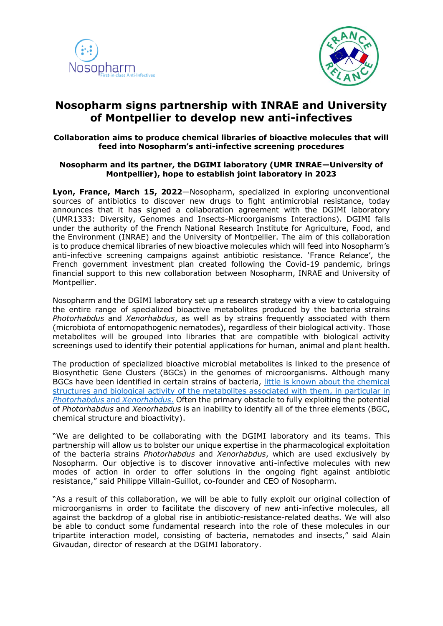



# **Nosopharm signs partnership with INRAE and University of Montpellier to develop new anti-infectives**

# **Collaboration aims to produce chemical libraries of bioactive molecules that will feed into Nosopharm's anti-infective screening procedures**

# **Nosopharm and its partner, the DGIMI laboratory (UMR INRAE—University of Montpellier), hope to establish joint laboratory in 2023**

**Lyon, France, March 15, 2022**—Nosopharm, specialized in exploring unconventional sources of antibiotics to discover new drugs to fight antimicrobial resistance, today announces that it has signed a collaboration agreement with the DGIMI laboratory (UMR1333: Diversity, Genomes and Insects-Microorganisms Interactions). DGIMI falls under the authority of the French National Research Institute for Agriculture, Food, and the Environment (INRAE) and the University of Montpellier. The aim of this collaboration is to produce chemical libraries of new bioactive molecules which will feed into Nosopharm's anti-infective screening campaigns against antibiotic resistance. 'France Relance', the French government investment plan created following the Covid-19 pandemic, brings financial support to this new collaboration between Nosopharm, INRAE and University of Montpellier.

Nosopharm and the DGIMI laboratory set up a research strategy with a view to cataloguing the entire range of specialized bioactive metabolites produced by the bacteria strains *Photorhabdus* and *Xenorhabdus*, as well as by strains frequently associated with them (microbiota of entomopathogenic nematodes), regardless of their biological activity. Those metabolites will be grouped into libraries that are compatible with biological activity screenings used to identify their potential applications for human, animal and plant health.

The production of specialized bioactive microbial metabolites is linked to the presence of Biosynthetic Gene Clusters (BGCs) in the genomes of microorganisms. Although many BGCs have been identified in certain strains of bacteria, [little is known about the chemical](https://www.nature.com/articles/s41564-017-0039-9?WT.feed_name=subjects_chemical-ecology)  [structures and biological activity of the metabolites associated with them, in particular in](https://www.nature.com/articles/s41564-017-0039-9?WT.feed_name=subjects_chemical-ecology)  *[Photorhabdus](https://www.nature.com/articles/s41564-017-0039-9?WT.feed_name=subjects_chemical-ecology)* and *Xenorhabdus*. Often the primary obstacle to fully exploiting the potential of *Photorhabdus* and *Xenorhabdus* is an inability to identify all of the three elements (BGC, chemical structure and bioactivity).

"We are delighted to be collaborating with the DGIMI laboratory and its teams. This partnership will allow us to bolster our unique expertise in the pharmacological exploitation of the bacteria strains *Photorhabdus* and *Xenorhabdus*, which are used exclusively by Nosopharm. Our objective is to discover innovative anti-infective molecules with new modes of action in order to offer solutions in the ongoing fight against antibiotic resistance," said Philippe Villain-Guillot, co-founder and CEO of Nosopharm.

"As a result of this collaboration, we will be able to fully exploit our original collection of microorganisms in order to facilitate the discovery of new anti-infective molecules, all against the backdrop of a global rise in antibiotic-resistance-related deaths. We will also be able to conduct some fundamental research into the role of these molecules in our tripartite interaction model, consisting of bacteria, nematodes and insects," said Alain Givaudan, director of research at the DGIMI laboratory.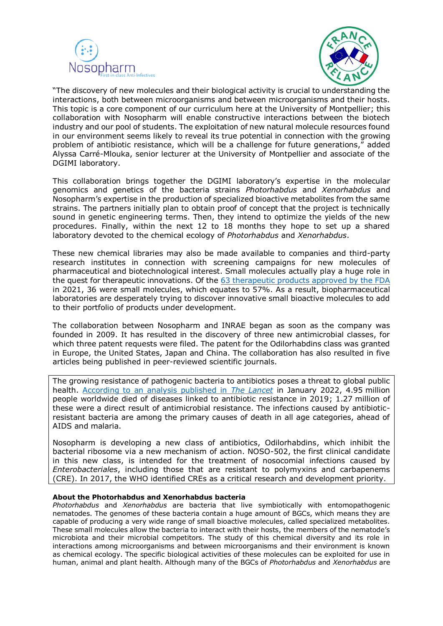



"The discovery of new molecules and their biological activity is crucial to understanding the interactions, both between microorganisms and between microorganisms and their hosts. This topic is a core component of our curriculum here at the University of Montpellier; this collaboration with Nosopharm will enable constructive interactions between the biotech industry and our pool of students. The exploitation of new natural molecule resources found in our environment seems likely to reveal its true potential in connection with the growing problem of antibiotic resistance, which will be a challenge for future generations," added Alyssa Carré-Mlouka, senior lecturer at the University of Montpellier and associate of the DGIMI laboratory.

This collaboration brings together the DGIMI laboratory's expertise in the molecular genomics and genetics of the bacteria strains *Photorhabdus* and *Xenorhabdus* and Nosopharm's expertise in the production of specialized bioactive metabolites from the same strains. The partners initially plan to obtain proof of concept that the project is technically sound in genetic engineering terms. Then, they intend to optimize the yields of the new procedures. Finally, within the next 12 to 18 months they hope to set up a shared laboratory devoted to the chemical ecology of *Photorhabdus* and *Xenorhabdus*.

These new chemical libraries may also be made available to companies and third-party research institutes in connection with screening campaigns for new molecules of pharmaceutical and biotechnological interest. Small molecules actually play a huge role in the quest for therapeutic innovations. Of the [63 therapeutic products approved by the FDA](https://www.fda.gov/drugs/new-drugs-fda-cders-new-molecular-entities-and-new-therapeutic-biological-products/novel-drug-approvals-2021) in 2021, 36 were small molecules, which equates to 57%. As a result, biopharmaceutical laboratories are desperately trying to discover innovative small bioactive molecules to add to their portfolio of products under development.

The collaboration between Nosopharm and INRAE began as soon as the company was founded in 2009. It has resulted in the discovery of three new antimicrobial classes, for which three patent requests were filed. The patent for the Odilorhabdins class was granted in Europe, the United States, Japan and China. The collaboration has also resulted in five articles being published in peer-reviewed scientific journals.

The growing resistance of pathogenic bacteria to antibiotics poses a threat to global public health. [According to an analysis published in](https://www.thelancet.com/journals/lancet/article/PIIS0140-6736(21)02724-0/fulltext) *The Lancet* in January 2022, 4.95 million people worldwide died of diseases linked to antibiotic resistance in 2019; 1.27 million of these were a direct result of antimicrobial resistance. The infections caused by antibioticresistant bacteria are among the primary causes of death in all age categories, ahead of AIDS and malaria.

Nosopharm is developing a new class of antibiotics, Odilorhabdins, which inhibit the bacterial ribosome via a new mechanism of action. NOSO-502, the first clinical candidate in this new class, is intended for the treatment of nosocomial infections caused by *Enterobacteriales*, including those that are resistant to polymyxins and carbapenems (CRE). In 2017, the WHO identified CREs as a critical research and development priority.

## **About the Photorhabdus and Xenorhabdus bacteria**

*Photorhabdus* and *Xenorhabdus* are bacteria that live symbiotically with entomopathogenic nematodes. The genomes of these bacteria contain a huge amount of BGCs, which means they are capable of producing a very wide range of small bioactive molecules, called specialized metabolites. These small molecules allow the bacteria to interact with their hosts, the members of the nematode's microbiota and their microbial competitors. The study of this chemical diversity and its role in interactions among microorganisms and between microorganisms and their environment is known as chemical ecology. The specific biological activities of these molecules can be exploited for use in human, animal and plant health. Although many of the BGCs of *Photorhabdus* and *Xenorhabdus* are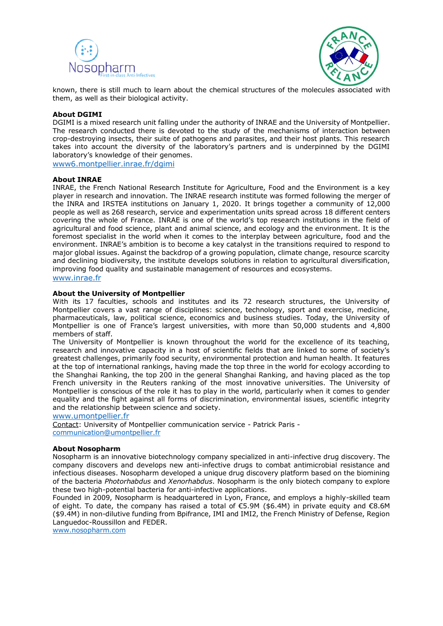



known, there is still much to learn about the chemical structures of the molecules associated with them, as well as their biological activity.

## **About DGIMI**

DGIMI is a mixed research unit falling under the authority of INRAE and the University of Montpellier. The research conducted there is devoted to the study of the mechanisms of interaction between crop-destroying insects, their suite of pathogens and parasites, and their host plants. This research takes into account the diversity of the laboratory's partners and is underpinned by the DGIMI laboratory's knowledge of their genomes.

[www6.montpellier.inrae.fr/dgimi](https://www6.montpellier.inrae.fr/dgimi_eng/)

### **About INRAE**

INRAE, the French National Research Institute for Agriculture, Food and the Environment is a key player in research and innovation. The INRAE research institute was formed following the merger of the INRA and IRSTEA institutions on January 1, 2020. It brings together a community of 12,000 people as well as 268 research, service and experimentation units spread across 18 different centers covering the whole of France. INRAE is one of the world's top research institutions in the field of agricultural and food science, plant and animal science, and ecology and the environment. It is the foremost specialist in the world when it comes to the interplay between agriculture, food and the environment. INRAE's ambition is to become a key catalyst in the transitions required to respond to major global issues. Against the backdrop of a growing population, climate change, resource scarcity and declining biodiversity, the institute develops solutions in relation to agricultural diversification, improving food quality and sustainable management of resources and ecosystems.

[www.inrae.fr](https://www.inrae.fr/en)

### **About the University of Montpellier**

With its 17 faculties, schools and institutes and its 72 research structures, the University of Montpellier covers a vast range of disciplines: science, technology, sport and exercise, medicine, pharmaceuticals, law, political science, economics and business studies. Today, the University of Montpellier is one of France's largest universities, with more than 50,000 students and 4,800 members of staff.

The University of Montpellier is known throughout the world for the excellence of its teaching, research and innovative capacity in a host of scientific fields that are linked to some of society's greatest challenges, primarily food security, environmental protection and human health. It features at the top of international rankings, having made the top three in the world for ecology according to the Shanghai Ranking, the top 200 in the general Shanghai Ranking, and having placed as the top French university in the Reuters ranking of the most innovative universities. The University of Montpellier is conscious of the role it has to play in the world, particularly when it comes to gender equality and the fight against all forms of discrimination, environmental issues, scientific integrity and the relationship between science and society.

[www.umontpellier.fr](https://www.umontpellier.fr/en/)

Contact: University of Montpellier communication service - Patrick Paris [communication@umontpellier.fr](mailto:communication@umontpellier.fr)

### **About Nosopharm**

Nosopharm is an innovative biotechnology company specialized in anti-infective drug discovery. The company discovers and develops new anti-infective drugs to combat antimicrobial resistance and infectious diseases. Nosopharm developed a unique drug discovery platform based on the biomining of the bacteria *Photorhabdus* and *Xenorhabdus*. Nosopharm is the only biotech company to explore these two high-potential bacteria for anti-infective applications.

Founded in 2009, Nosopharm is headquartered in Lyon, France, and employs a highly-skilled team of eight. To date, the company has raised a total of €5.9M (\$6.4M) in private equity and €8.6M (\$9.4M) in non-dilutive funding from Bpifrance, IMI and IMI2, the French Ministry of Defense, Region Languedoc-Roussillon and FEDER.

[www.nosopharm.com](https://www.nosopharm.com/)